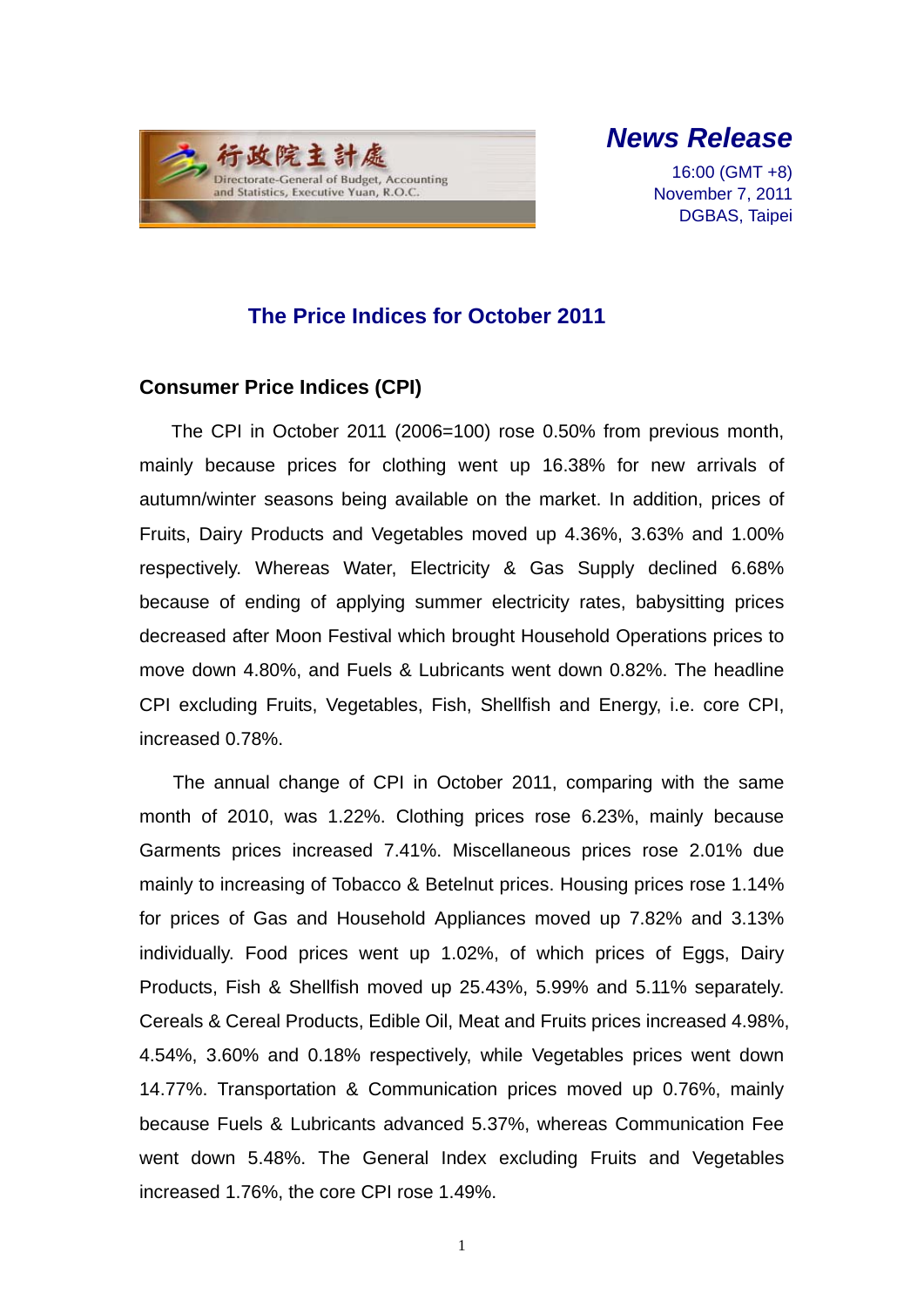

*News Release* 

16:00 (GMT +8) November 7, 2011 DGBAS, Taipei

### **The Price Indices for October 2011**

#### **Consumer Price Indices (CPI)**

The CPI in October 2011 (2006=100) rose 0.50% from previous month, mainly because prices for clothing went up 16.38% for new arrivals of autumn/winter seasons being available on the market. In addition, prices of Fruits, Dairy Products and Vegetables moved up 4.36%, 3.63% and 1.00% respectively. Whereas Water, Electricity & Gas Supply declined 6.68% because of ending of applying summer electricity rates, babysitting prices decreased after Moon Festival which brought Household Operations prices to move down 4.80%, and Fuels & Lubricants went down 0.82%. The headline CPI excluding Fruits, Vegetables, Fish, Shellfish and Energy, i.e. core CPI, increased 0.78%.

The annual change of CPI in October 2011, comparing with the same month of 2010, was 1.22%. Clothing prices rose 6.23%, mainly because Garments prices increased 7.41%. Miscellaneous prices rose 2.01% due mainly to increasing of Tobacco & Betelnut prices. Housing prices rose 1.14% for prices of Gas and Household Appliances moved up 7.82% and 3.13% individually. Food prices went up 1.02%, of which prices of Eggs, Dairy Products, Fish & Shellfish moved up 25.43%, 5.99% and 5.11% separately. Cereals & Cereal Products, Edible Oil, Meat and Fruits prices increased 4.98%, 4.54%, 3.60% and 0.18% respectively, while Vegetables prices went down 14.77%. Transportation & Communication prices moved up 0.76%, mainly because Fuels & Lubricants advanced 5.37%, whereas Communication Fee went down 5.48%. The General Index excluding Fruits and Vegetables increased 1.76%, the core CPI rose 1.49%.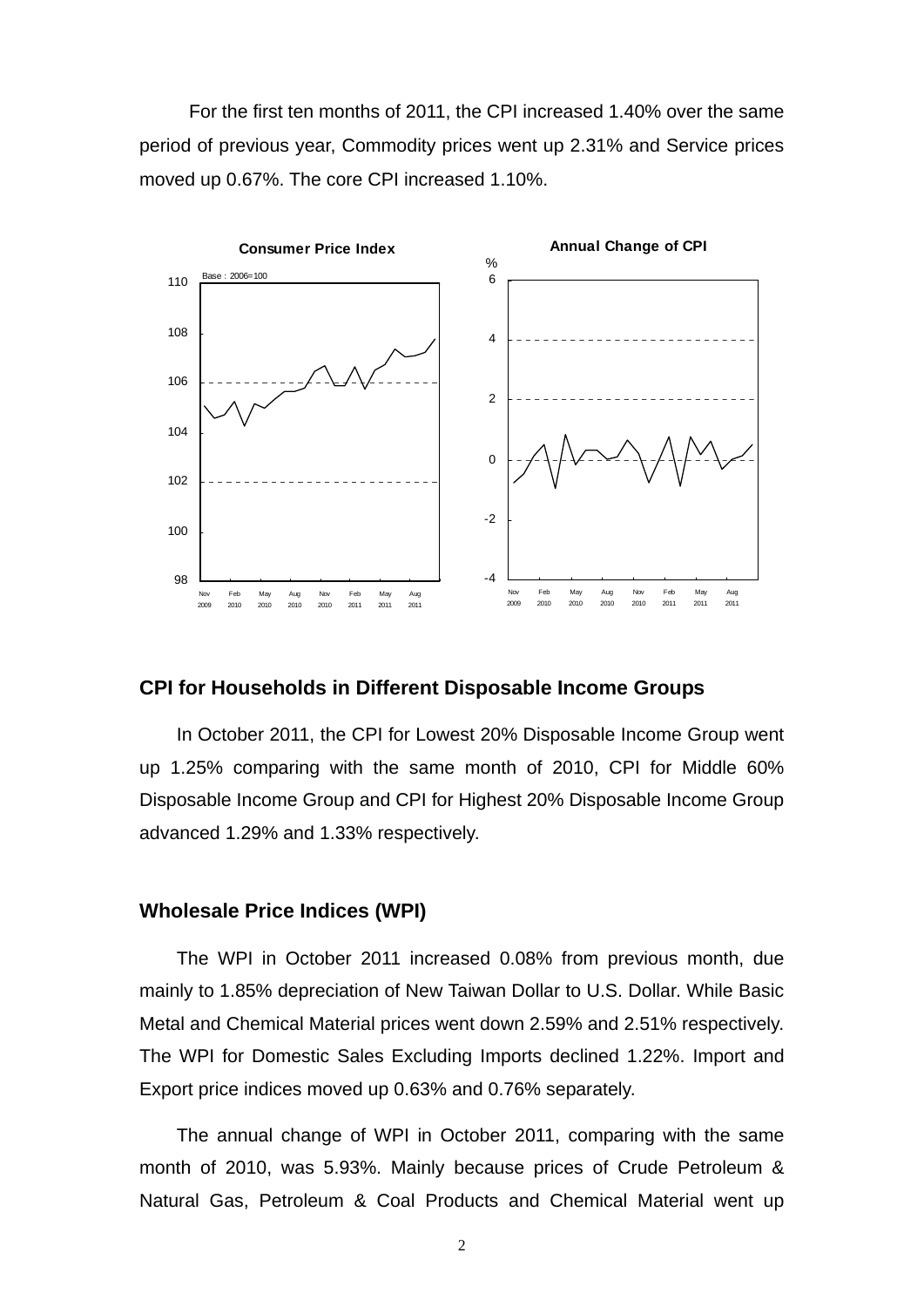For the first ten months of 2011, the CPI increased 1.40% over the same period of previous year, Commodity prices went up 2.31% and Service prices moved up 0.67%. The core CPI increased 1.10%.



#### **CPI for Households in Different Disposable Income Groups**

In October 2011, the CPI for Lowest 20% Disposable Income Group went up 1.25% comparing with the same month of 2010, CPI for Middle 60% Disposable Income Group and CPI for Highest 20% Disposable Income Group advanced 1.29% and 1.33% respectively.

#### **Wholesale Price Indices (WPI)**

The WPI in October 2011 increased 0.08% from previous month, due mainly to 1.85% depreciation of New Taiwan Dollar to U.S. Dollar. While Basic Metal and Chemical Material prices went down 2.59% and 2.51% respectively. The WPI for Domestic Sales Excluding Imports declined 1.22%. Import and Export price indices moved up 0.63% and 0.76% separately.

The annual change of WPI in October 2011, comparing with the same month of 2010, was 5.93%. Mainly because prices of Crude Petroleum & Natural Gas, Petroleum & Coal Products and Chemical Material went up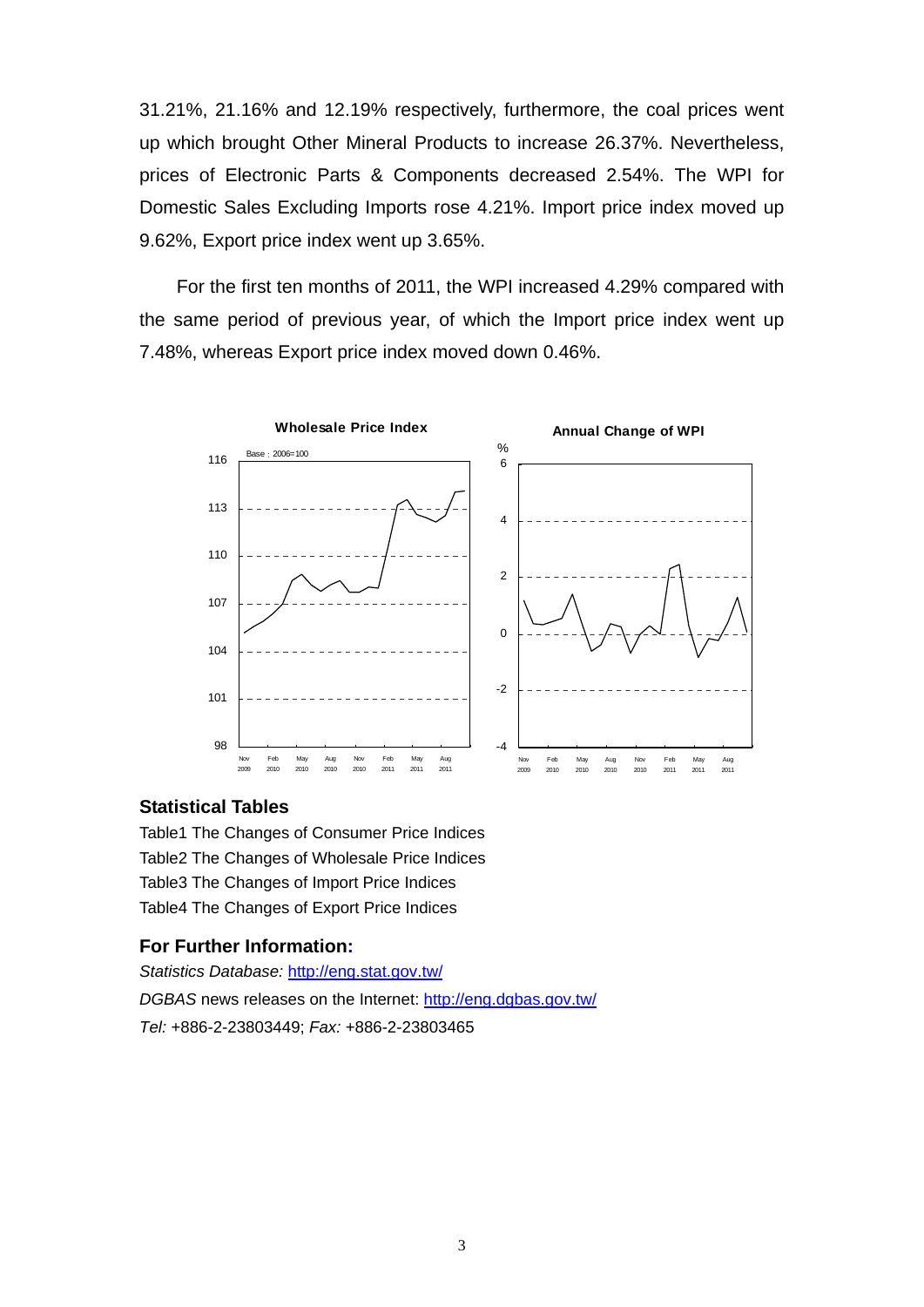31.21%, 21.16% and 12.19% respectively, furthermore, the coal prices went up which brought Other Mineral Products to increase 26.37%. Nevertheless, prices of Electronic Parts & Components decreased 2.54%. The WPI for Domestic Sales Excluding Imports rose 4.21%. Import price index moved up 9.62%, Export price index went up 3.65%.

For the first ten months of 2011, the WPI increased 4.29% compared with the same period of previous year, of which the Import price index went up 7.48%, whereas Export price index moved down 0.46%.



#### **Statistical Tables**

Table1 The Changes of Consumer Price Indices Table2 The Changes of Wholesale Price Indices Table3 The Changes of Import Price Indices Table4 The Changes of Export Price Indices

#### **For Further Information:**

*Statistics Database:* http://eng.stat.gov.tw/ *DGBAS* news releases on the Internet: http://eng.dgbas.gov.tw/ *Tel:* +886-2-23803449; *Fax:* +886-2-23803465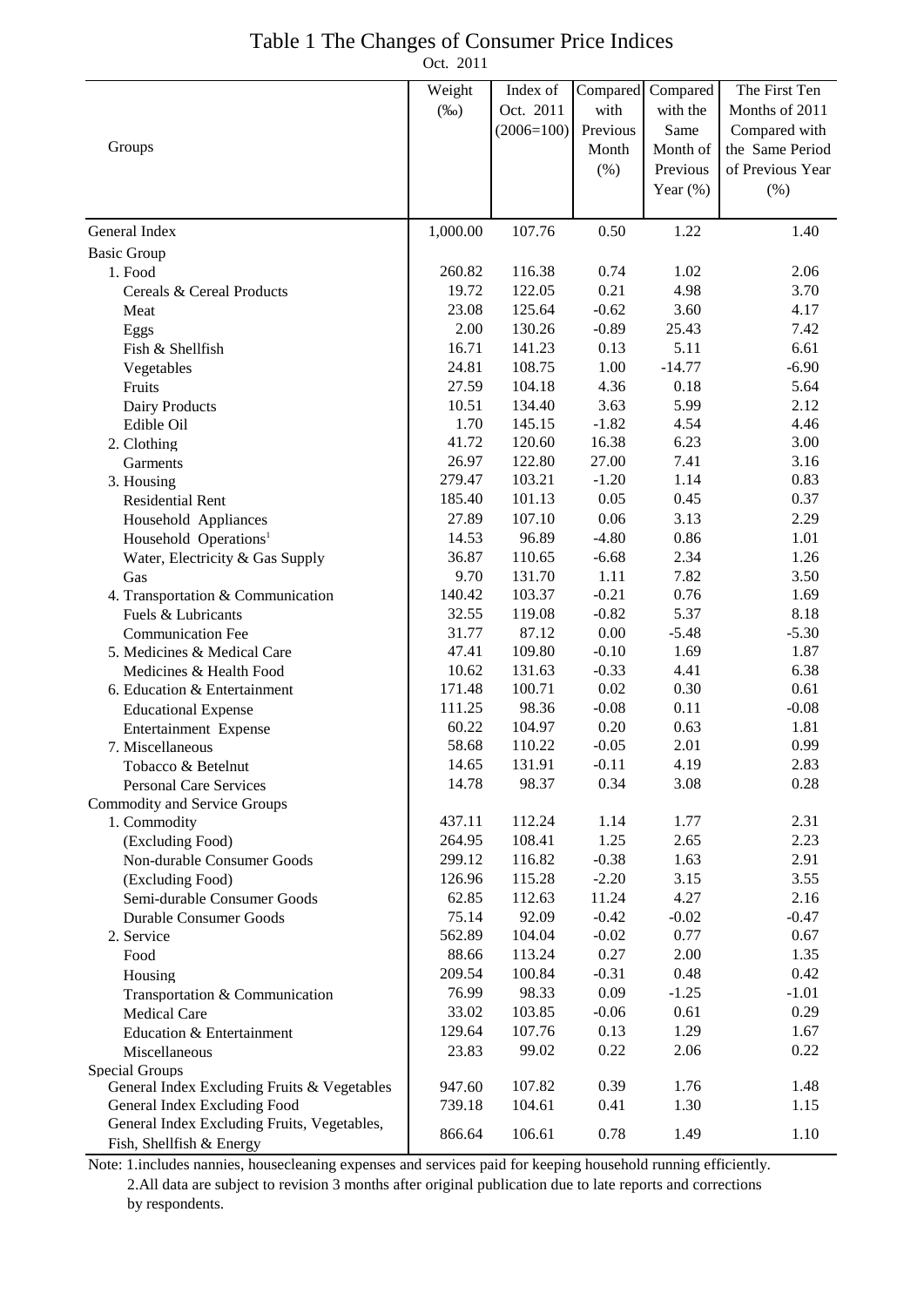### Table 1 The Changes of Consumer Price Indices

Oct. 2011

|                                                | Weight   | Index of     |                  | Compared | The First Ten    |
|------------------------------------------------|----------|--------------|------------------|----------|------------------|
|                                                |          | Oct. 2011    | Compared<br>with | with the | Months of 2011   |
|                                                | $(\%0)$  |              |                  |          |                  |
| Groups                                         |          | $(2006=100)$ | Previous         | Same     | Compared with    |
|                                                |          |              | Month            | Month of | the Same Period  |
|                                                |          |              | $(\% )$          | Previous | of Previous Year |
|                                                |          |              |                  | Year (%) | $(\% )$          |
| General Index                                  | 1,000.00 | 107.76       | 0.50             | 1.22     | 1.40             |
| <b>Basic Group</b>                             |          |              |                  |          |                  |
| 1. Food                                        | 260.82   | 116.38       | 0.74             | 1.02     | 2.06             |
| Cereals & Cereal Products                      | 19.72    | 122.05       | 0.21             | 4.98     | 3.70             |
| Meat                                           | 23.08    | 125.64       | $-0.62$          | 3.60     | 4.17             |
| Eggs                                           | 2.00     | 130.26       | $-0.89$          | 25.43    | 7.42             |
| Fish & Shellfish                               | 16.71    | 141.23       | 0.13             | 5.11     | 6.61             |
| Vegetables                                     | 24.81    | 108.75       | 1.00             | $-14.77$ | $-6.90$          |
| Fruits                                         | 27.59    | 104.18       | 4.36             | 0.18     | 5.64             |
| Dairy Products                                 | 10.51    | 134.40       | 3.63             | 5.99     | 2.12             |
| Edible Oil                                     | 1.70     | 145.15       | $-1.82$          | 4.54     | 4.46             |
| 2. Clothing                                    | 41.72    | 120.60       | 16.38            | 6.23     | 3.00             |
| Garments                                       | 26.97    | 122.80       | 27.00            | 7.41     | 3.16             |
| 3. Housing                                     | 279.47   | 103.21       | $-1.20$          | 1.14     | 0.83             |
| <b>Residential Rent</b>                        | 185.40   | 101.13       | 0.05             | 0.45     | 0.37             |
| Household Appliances                           | 27.89    | 107.10       | 0.06             | 3.13     | 2.29             |
| Household Operations <sup>1</sup>              | 14.53    | 96.89        | $-4.80$          | 0.86     | 1.01             |
| Water, Electricity & Gas Supply                | 36.87    | 110.65       | $-6.68$          | 2.34     | 1.26             |
| Gas                                            | 9.70     | 131.70       | 1.11             | 7.82     | 3.50             |
| 4. Transportation & Communication              | 140.42   | 103.37       | $-0.21$          | 0.76     | 1.69             |
| Fuels & Lubricants                             | 32.55    | 119.08       | $-0.82$          | 5.37     | 8.18             |
| <b>Communication Fee</b>                       | 31.77    | 87.12        | 0.00             | $-5.48$  | $-5.30$          |
| 5. Medicines & Medical Care                    | 47.41    | 109.80       | $-0.10$          | 1.69     | 1.87             |
| Medicines & Health Food                        | 10.62    | 131.63       | $-0.33$          | 4.41     | 6.38             |
| 6. Education & Entertainment                   | 171.48   | 100.71       | 0.02             | 0.30     | 0.61             |
| <b>Educational Expense</b>                     | 111.25   | 98.36        | $-0.08$          | 0.11     | $-0.08$          |
| Entertainment Expense                          | 60.22    | 104.97       | 0.20             | 0.63     | 1.81             |
| 7. Miscellaneous                               | 58.68    | 110.22       | $-0.05$          | 2.01     | 0.99             |
| Tobacco & Betelnut                             | 14.65    | 131.91       | $-0.11$          | 4.19     | 2.83             |
| Personal Care Services                         | 14.78    | 98.37        | 0.34             | 3.08     | 0.28             |
| Commodity and Service Groups                   | 437.11   | 112.24       | 1.14             | 1.77     | 2.31             |
| 1. Commodity                                   | 264.95   | 108.41       | 1.25             | 2.65     | 2.23             |
| (Excluding Food)<br>Non-durable Consumer Goods | 299.12   | 116.82       | $-0.38$          | 1.63     | 2.91             |
| (Excluding Food)                               | 126.96   | 115.28       | $-2.20$          | 3.15     | 3.55             |
| Semi-durable Consumer Goods                    | 62.85    | 112.63       | 11.24            | 4.27     | 2.16             |
| <b>Durable Consumer Goods</b>                  | 75.14    | 92.09        | $-0.42$          | $-0.02$  | $-0.47$          |
| 2. Service                                     | 562.89   | 104.04       | $-0.02$          | 0.77     | 0.67             |
| Food                                           | 88.66    | 113.24       | 0.27             | 2.00     | 1.35             |
| Housing                                        | 209.54   | 100.84       | $-0.31$          | 0.48     | 0.42             |
| Transportation & Communication                 | 76.99    | 98.33        | 0.09             | $-1.25$  | $-1.01$          |
| Medical Care                                   | 33.02    | 103.85       | $-0.06$          | 0.61     | 0.29             |
| Education & Entertainment                      | 129.64   | 107.76       | 0.13             | 1.29     | 1.67             |
| Miscellaneous                                  | 23.83    | 99.02        | 0.22             | 2.06     | 0.22             |
| Special Groups                                 |          |              |                  |          |                  |
| General Index Excluding Fruits & Vegetables    | 947.60   | 107.82       | 0.39             | 1.76     | 1.48             |
| General Index Excluding Food                   | 739.18   | 104.61       | 0.41             | 1.30     | 1.15             |
| General Index Excluding Fruits, Vegetables,    |          |              |                  |          |                  |
| Fish, Shellfish & Energy                       | 866.64   | 106.61       | 0.78             | 1.49     | 1.10             |

Note: 1.includes nannies, housecleaning expenses and services paid for keeping household running efficiently. 2.All data are subject to revision 3 months after original publication due to late reports and corrections

by respondents.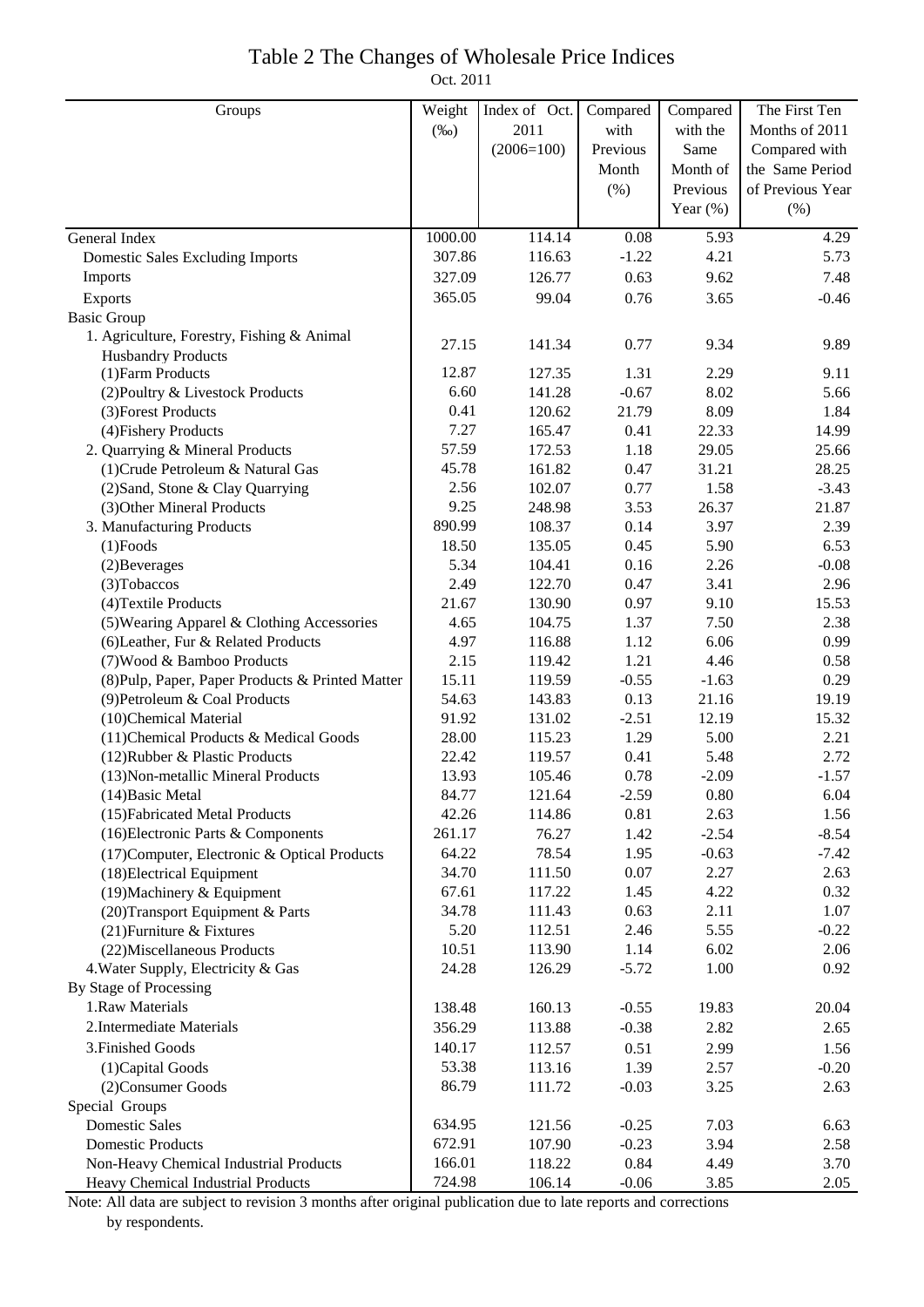## Table 2 The Changes of Wholesale Price Indices

Oct. 2011

| Groups                                           | Weight  | Index of Oct. | Compared | Compared    | The First Ten    |
|--------------------------------------------------|---------|---------------|----------|-------------|------------------|
|                                                  | $(\%0)$ | 2011          | with     | with the    | Months of 2011   |
|                                                  |         | $(2006=100)$  | Previous | Same        | Compared with    |
|                                                  |         |               | Month    | Month of    | the Same Period  |
|                                                  |         |               | (% )     | Previous    | of Previous Year |
|                                                  |         |               |          | Year $(\%)$ | $(\%)$           |
| General Index                                    | 1000.00 | 114.14        | 0.08     | 5.93        | 4.29             |
| <b>Domestic Sales Excluding Imports</b>          | 307.86  | 116.63        | $-1.22$  | 4.21        | 5.73             |
| Imports                                          | 327.09  | 126.77        | 0.63     | 9.62        | 7.48             |
| Exports                                          | 365.05  | 99.04         | 0.76     | 3.65        | $-0.46$          |
| <b>Basic Group</b>                               |         |               |          |             |                  |
| 1. Agriculture, Forestry, Fishing & Animal       |         |               |          |             |                  |
| <b>Husbandry Products</b>                        | 27.15   | 141.34        | 0.77     | 9.34        | 9.89             |
| (1) Farm Products                                | 12.87   | 127.35        | 1.31     | 2.29        | 9.11             |
| (2) Poultry & Livestock Products                 | 6.60    | 141.28        | $-0.67$  | 8.02        | 5.66             |
| (3) Forest Products                              | 0.41    | 120.62        | 21.79    | 8.09        | 1.84             |
| (4) Fishery Products                             | 7.27    | 165.47        | 0.41     | 22.33       | 14.99            |
| 2. Quarrying & Mineral Products                  | 57.59   | 172.53        | 1.18     | 29.05       | 25.66            |
| (1) Crude Petroleum & Natural Gas                | 45.78   | 161.82        | 0.47     | 31.21       | 28.25            |
| (2) Sand, Stone & Clay Quarrying                 | 2.56    | 102.07        | 0.77     | 1.58        | $-3.43$          |
| (3) Other Mineral Products                       | 9.25    | 248.98        | 3.53     | 26.37       | 21.87            |
| 3. Manufacturing Products                        | 890.99  | 108.37        | 0.14     | 3.97        | 2.39             |
| $(1)$ Foods                                      | 18.50   | 135.05        | 0.45     | 5.90        | 6.53             |
| (2) Beverages                                    | 5.34    | 104.41        | 0.16     | 2.26        | $-0.08$          |
| (3) Tobaccos                                     | 2.49    | 122.70        | 0.47     | 3.41        | 2.96             |
| (4) Textile Products                             | 21.67   | 130.90        | 0.97     | 9.10        | 15.53            |
| (5) Wearing Apparel & Clothing Accessories       | 4.65    | 104.75        | 1.37     | 7.50        | 2.38             |
| (6) Leather, Fur & Related Products              | 4.97    | 116.88        | 1.12     | 6.06        | 0.99             |
| (7) Wood & Bamboo Products                       | 2.15    | 119.42        | 1.21     | 4.46        | 0.58             |
| (8) Pulp, Paper, Paper Products & Printed Matter | 15.11   | 119.59        | $-0.55$  | $-1.63$     | 0.29             |
| (9) Petroleum & Coal Products                    | 54.63   | 143.83        | 0.13     | 21.16       | 19.19            |
| (10)Chemical Material                            | 91.92   | 131.02        | $-2.51$  | 12.19       | 15.32            |
| (11) Chemical Products & Medical Goods           | 28.00   | 115.23        | 1.29     | 5.00        | 2.21             |
| (12) Rubber & Plastic Products                   | 22.42   | 119.57        | 0.41     | 5.48        | 2.72             |
| (13) Non-metallic Mineral Products               | 13.93   | 105.46        | 0.78     | $-2.09$     | $-1.57$          |
| $(14)$ Basic Metal                               | 84.77   | 121.64        | $-2.59$  | 0.80        | 6.04             |
| (15) Fabricated Metal Products                   | 42.26   | 114.86        | 0.81     | 2.63        | 1.56             |
| (16) Electronic Parts & Components               | 261.17  | 76.27         | 1.42     | $-2.54$     | $-8.54$          |
| (17) Computer, Electronic & Optical Products     | 64.22   | 78.54         | 1.95     | $-0.63$     | $-7.42$          |
| (18) Electrical Equipment                        | 34.70   | 111.50        | 0.07     | 2.27        | 2.63             |
| (19) Machinery & Equipment                       | 67.61   | 117.22        | 1.45     | 4.22        | 0.32             |
| (20) Transport Equipment & Parts                 | 34.78   | 111.43        | 0.63     | 2.11        | 1.07             |
| (21) Furniture & Fixtures                        | 5.20    | 112.51        | 2.46     | 5.55        | $-0.22$          |
| (22) Miscellaneous Products                      | 10.51   | 113.90        | 1.14     | 6.02        | 2.06             |
| 4. Water Supply, Electricity & Gas               | 24.28   | 126.29        | $-5.72$  | 1.00        | 0.92             |
| By Stage of Processing                           |         |               |          |             |                  |
| 1.Raw Materials                                  | 138.48  | 160.13        | $-0.55$  | 19.83       | 20.04            |
| 2. Intermediate Materials                        | 356.29  | 113.88        | $-0.38$  | 2.82        | 2.65             |
| 3. Finished Goods                                | 140.17  | 112.57        | 0.51     | 2.99        | 1.56             |
| (1) Capital Goods                                | 53.38   | 113.16        | 1.39     | 2.57        | $-0.20$          |
| (2) Consumer Goods                               | 86.79   | 111.72        | $-0.03$  | 3.25        | 2.63             |
| Special Groups                                   |         |               |          |             |                  |
| <b>Domestic Sales</b>                            | 634.95  | 121.56        | $-0.25$  | 7.03        | 6.63             |
| <b>Domestic Products</b>                         | 672.91  | 107.90        | $-0.23$  | 3.94        | 2.58             |
| Non-Heavy Chemical Industrial Products           | 166.01  | 118.22        | 0.84     | 4.49        | 3.70             |
| Heavy Chemical Industrial Products               | 724.98  | 106.14        | $-0.06$  | 3.85        | 2.05             |

Note: All data are subject to revision 3 months after original publication due to late reports and corrections by respondents.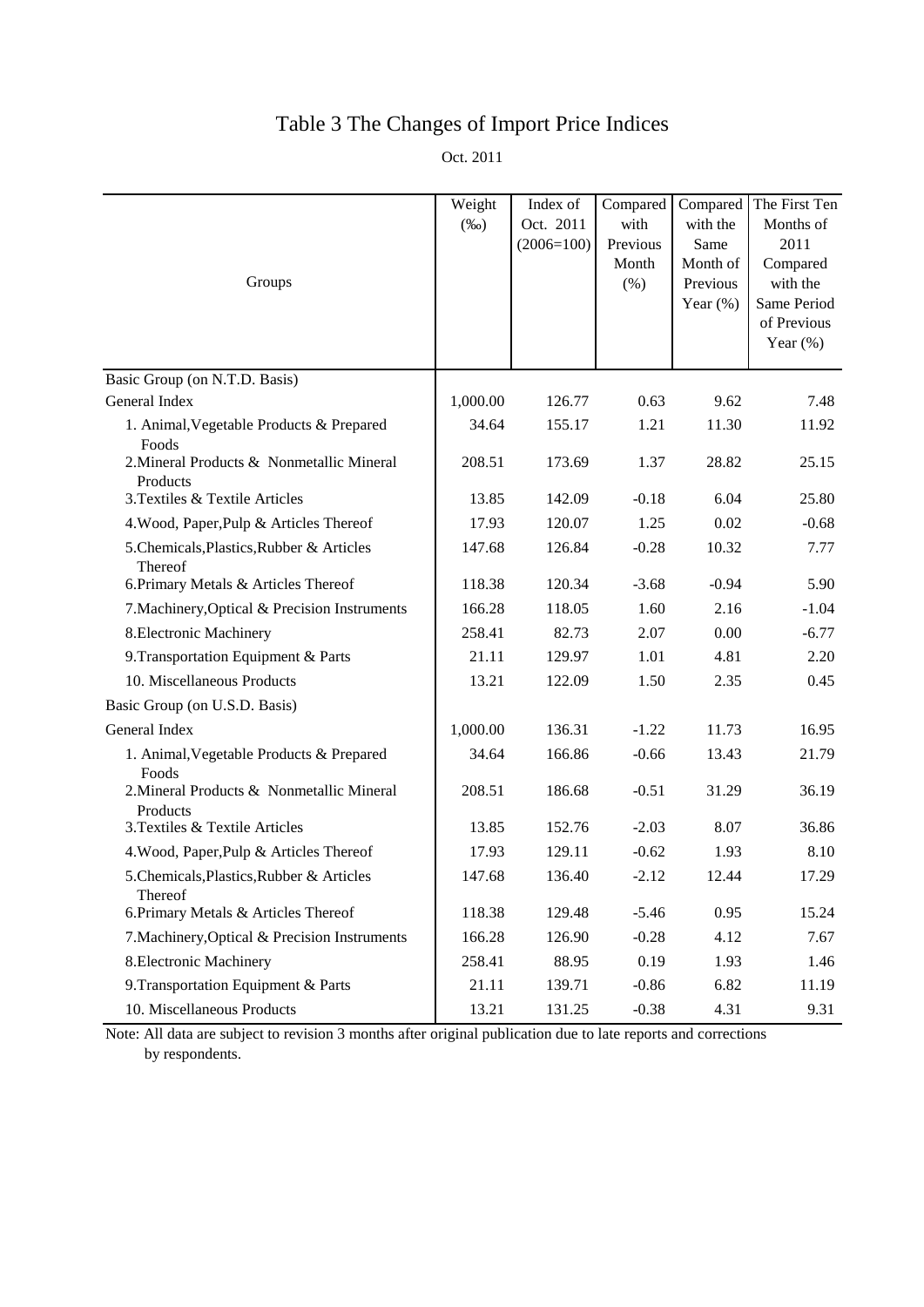# Table 3 The Changes of Import Price Indices

Oct. 2011

| Groups                                                | Weight<br>$(\%0)$ | Index of<br>Oct. 2011<br>$(2006=100)$ | Compared<br>with<br>Previous<br>Month<br>(% ) | Compared<br>with the<br>Same<br>Month of<br>Previous<br>Year $(\%)$ | The First Ten<br>Months of<br>2011<br>Compared<br>with the<br>Same Period<br>of Previous<br>Year $(\%)$ |
|-------------------------------------------------------|-------------------|---------------------------------------|-----------------------------------------------|---------------------------------------------------------------------|---------------------------------------------------------------------------------------------------------|
| Basic Group (on N.T.D. Basis)                         |                   |                                       |                                               |                                                                     |                                                                                                         |
| General Index                                         | 1,000.00          | 126.77                                | 0.63                                          | 9.62                                                                | 7.48                                                                                                    |
| 1. Animal, Vegetable Products & Prepared<br>Foods     | 34.64             | 155.17                                | 1.21                                          | 11.30                                                               | 11.92                                                                                                   |
| 2. Mineral Products & Nonmetallic Mineral<br>Products | 208.51            | 173.69                                | 1.37                                          | 28.82                                                               | 25.15                                                                                                   |
| 3. Textiles & Textile Articles                        | 13.85             | 142.09                                | $-0.18$                                       | 6.04                                                                | 25.80                                                                                                   |
| 4. Wood, Paper, Pulp & Articles Thereof               | 17.93             | 120.07                                | 1.25                                          | 0.02                                                                | $-0.68$                                                                                                 |
| 5.Chemicals, Plastics, Rubber & Articles<br>Thereof   | 147.68            | 126.84                                | $-0.28$                                       | 10.32                                                               | 7.77                                                                                                    |
| 6. Primary Metals & Articles Thereof                  | 118.38            | 120.34                                | $-3.68$                                       | $-0.94$                                                             | 5.90                                                                                                    |
| 7. Machinery, Optical & Precision Instruments         | 166.28            | 118.05                                | 1.60                                          | 2.16                                                                | $-1.04$                                                                                                 |
| 8. Electronic Machinery                               | 258.41            | 82.73                                 | 2.07                                          | 0.00                                                                | $-6.77$                                                                                                 |
| 9. Transportation Equipment & Parts                   | 21.11             | 129.97                                | 1.01                                          | 4.81                                                                | 2.20                                                                                                    |
| 10. Miscellaneous Products                            | 13.21             | 122.09                                | 1.50                                          | 2.35                                                                | 0.45                                                                                                    |
| Basic Group (on U.S.D. Basis)                         |                   |                                       |                                               |                                                                     |                                                                                                         |
| General Index                                         | 1,000.00          | 136.31                                | $-1.22$                                       | 11.73                                                               | 16.95                                                                                                   |
| 1. Animal, Vegetable Products & Prepared<br>Foods     | 34.64             | 166.86                                | $-0.66$                                       | 13.43                                                               | 21.79                                                                                                   |
| 2. Mineral Products & Nonmetallic Mineral<br>Products | 208.51            | 186.68                                | $-0.51$                                       | 31.29                                                               | 36.19                                                                                                   |
| 3. Textiles & Textile Articles                        | 13.85             | 152.76                                | $-2.03$                                       | 8.07                                                                | 36.86                                                                                                   |
| 4. Wood, Paper, Pulp & Articles Thereof               | 17.93             | 129.11                                | $-0.62$                                       | 1.93                                                                | 8.10                                                                                                    |
| 5. Chemicals, Plastics, Rubber & Articles<br>Thereof  | 147.68            | 136.40                                | $-2.12$                                       | 12.44                                                               | 17.29                                                                                                   |
| 6. Primary Metals & Articles Thereof                  | 118.38            | 129.48                                | $-5.46$                                       | 0.95                                                                | 15.24                                                                                                   |
| 7. Machinery, Optical & Precision Instruments         | 166.28            | 126.90                                | $-0.28$                                       | 4.12                                                                | 7.67                                                                                                    |
| 8. Electronic Machinery                               | 258.41            | 88.95                                 | 0.19                                          | 1.93                                                                | 1.46                                                                                                    |
| 9. Transportation Equipment & Parts                   | 21.11             | 139.71                                | $-0.86$                                       | 6.82                                                                | 11.19                                                                                                   |
| 10. Miscellaneous Products                            | 13.21             | 131.25                                | $-0.38$                                       | 4.31                                                                | 9.31                                                                                                    |

Note: All data are subject to revision 3 months after original publication due to late reports and corrections by respondents.